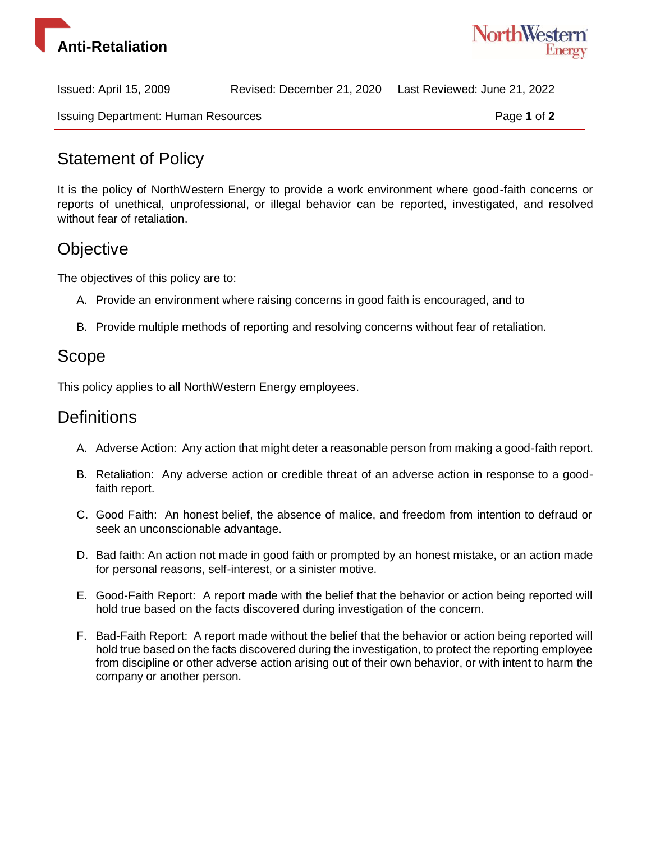



Issued: April 15, 2009 Revised: December 21, 2020 Last Reviewed: June 21, 2022

## Statement of Policy

It is the policy of NorthWestern Energy to provide a work environment where good-faith concerns or reports of unethical, unprofessional, or illegal behavior can be reported, investigated, and resolved without fear of retaliation.

## **Objective**

The objectives of this policy are to:

- A. Provide an environment where raising concerns in good faith is encouraged, and to
- B. Provide multiple methods of reporting and resolving concerns without fear of retaliation.

## Scope

This policy applies to all NorthWestern Energy employees.

### **Definitions**

- A. Adverse Action: Any action that might deter a reasonable person from making a good-faith report.
- B. Retaliation: Any adverse action or credible threat of an adverse action in response to a goodfaith report.
- C. Good Faith: An honest belief, the absence of malice, and freedom from intention to defraud or seek an unconscionable advantage.
- D. Bad faith: An action not made in good faith or prompted by an honest mistake, or an action made for personal reasons, self-interest, or a sinister motive.
- E. Good-Faith Report: A report made with the belief that the behavior or action being reported will hold true based on the facts discovered during investigation of the concern.
- F. Bad-Faith Report: A report made without the belief that the behavior or action being reported will hold true based on the facts discovered during the investigation, to protect the reporting employee from discipline or other adverse action arising out of their own behavior, or with intent to harm the company or another person.